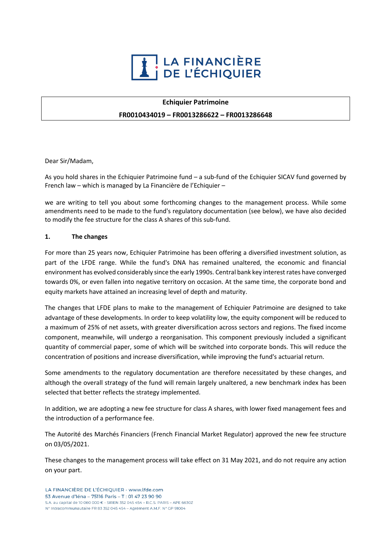

## **Echiquier Patrimoine**

### **FR0010434019 – FR0013286622 – FR0013286648**

Dear Sir/Madam,

As you hold shares in the Echiquier Patrimoine fund – a sub-fund of the Echiquier SICAV fund governed by French law – which is managed by La Financière de l'Echiquier –

we are writing to tell you about some forthcoming changes to the management process. While some amendments need to be made to the fund's regulatory documentation (see below), we have also decided to modify the fee structure for the class A shares of this sub-fund.

#### **1. The changes**

For more than 25 years now, Echiquier Patrimoine has been offering a diversified investment solution, as part of the LFDE range. While the fund's DNA has remained unaltered, the economic and financial environment has evolved considerably since the early 1990s. Central bank key interest rates have converged towards 0%, or even fallen into negative territory on occasion. At the same time, the corporate bond and equity markets have attained an increasing level of depth and maturity.

The changes that LFDE plans to make to the management of Echiquier Patrimoine are designed to take advantage of these developments. In order to keep volatility low, the equity component will be reduced to a maximum of 25% of net assets, with greater diversification across sectors and regions. The fixed income component, meanwhile, will undergo a reorganisation. This component previously included a significant quantity of commercial paper, some of which will be switched into corporate bonds. This will reduce the concentration of positions and increase diversification, while improving the fund's actuarial return.

Some amendments to the regulatory documentation are therefore necessitated by these changes, and although the overall strategy of the fund will remain largely unaltered, a new benchmark index has been selected that better reflects the strategy implemented.

In addition, we are adopting a new fee structure for class A shares, with lower fixed management fees and the introduction of a performance fee.

The Autorité des Marchés Financiers (French Financial Market Regulator) approved the new fee structure on 03/05/2021.

These changes to the management process will take effect on 31 May 2021, and do not require any action on your part.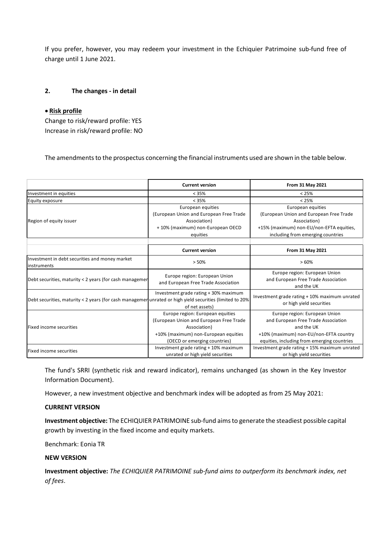If you prefer, however, you may redeem your investment in the Echiquier Patrimoine sub-fund free of charge until 1 June 2021.

# **2. The changes - in detail**

### • **Risk profile**

Change to risk/reward profile: YES Increase in risk/reward profile: NO

The amendments to the prospectus concerning the financial instruments used are shown in the table below.

|                                                                                                          | <b>Current version</b>                                               | From 31 May 2021                                                                   |
|----------------------------------------------------------------------------------------------------------|----------------------------------------------------------------------|------------------------------------------------------------------------------------|
| Investment in equities                                                                                   | < 35%                                                                | < 25%                                                                              |
| Equity exposure                                                                                          | < 35%                                                                | < 25%                                                                              |
| Region of equity issuer                                                                                  | European equities                                                    | European equities                                                                  |
|                                                                                                          | (European Union and European Free Trade                              | (European Union and European Free Trade                                            |
|                                                                                                          | Association)                                                         | Association)                                                                       |
|                                                                                                          | +10% (maximum) non-European OECD                                     | +15% (maximum) non-EU/non-EFTA equities,                                           |
|                                                                                                          | equities                                                             | including from emerging countries                                                  |
|                                                                                                          |                                                                      |                                                                                    |
|                                                                                                          | <b>Current version</b>                                               | <b>From 31 May 2021</b>                                                            |
| Investment in debt securities and money market<br>instruments                                            | > 50%                                                                | >60%                                                                               |
| Debt securities, maturity < 2 years (for cash managemen                                                  | Europe region: European Union<br>and European Free Trade Association | Europe region: European Union<br>and European Free Trade Association<br>and the UK |
| Debt securities, maturity < 2 years (for cash managemen unrated or high yield securities (limited to 20% | Investment grade rating + 30% maximum<br>of net assets)              | Investment grade rating + 10% maximum unrated<br>or high yield securities          |
| Fixed income securities                                                                                  | Europe region: European equities                                     | Europe region: European Union                                                      |
|                                                                                                          | (European Union and European Free Trade                              | and European Free Trade Association                                                |
|                                                                                                          | Association)                                                         | and the UK                                                                         |
|                                                                                                          | +10% (maximum) non-European equities                                 | +10% (maximum) non-EU/non-EFTA country                                             |
|                                                                                                          | (OECD or emerging countries)                                         | equities, including from emerging countries                                        |
| Fixed income securities                                                                                  | Investment grade rating + 10% maximum                                | Investment grade rating + 15% maximum unrated                                      |
|                                                                                                          | unrated or high yield securities                                     | or high yield securities                                                           |

The fund's SRRI (synthetic risk and reward indicator), remains unchanged (as shown in the Key Investor Information Document).

However, a new investment objective and benchmark index will be adopted as from 25 May 2021:

#### **CURRENT VERSION**

**Investment objective:** The ECHIQUIER PATRIMOINE sub-fund aims to generate the steadiest possible capital growth by investing in the fixed income and equity markets.

Benchmark: Eonia TR

## **NEW VERSION**

**Investment objective:** *The ECHIQUIER PATRIMOINE sub-fund aims to outperform its benchmark index, net of fees*.